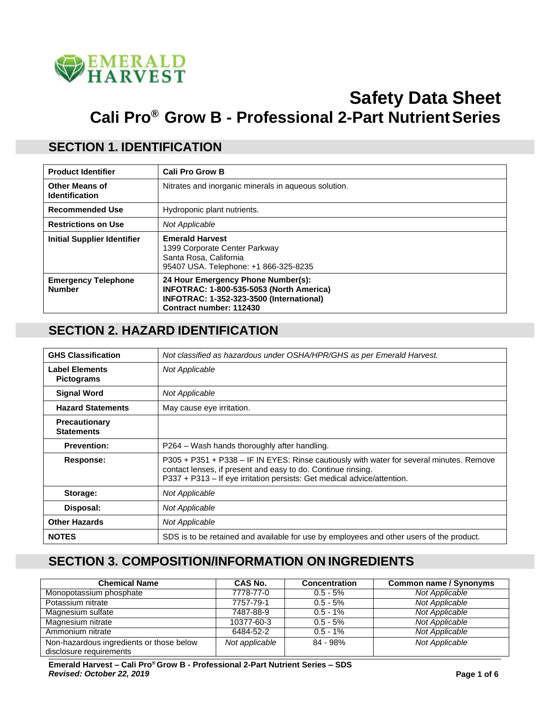

# **Safety Data Sheet Cali Pro® Grow B - Professional 2-Part NutrientSeries**

#### **SECTION 1. IDENTIFICATION**

| <b>Product Identifier</b>                      | <b>Cali Pro Grow B</b>                                                                                                                                |
|------------------------------------------------|-------------------------------------------------------------------------------------------------------------------------------------------------------|
| <b>Other Means of</b><br><b>Identification</b> | Nitrates and inorganic minerals in aqueous solution.                                                                                                  |
| <b>Recommended Use</b>                         | Hydroponic plant nutrients.                                                                                                                           |
| <b>Restrictions on Use</b>                     | Not Applicable                                                                                                                                        |
| <b>Initial Supplier Identifier</b>             | <b>Emerald Harvest</b><br>1399 Corporate Center Parkway<br>Santa Rosa, California<br>95407 USA. Telephone: +1 866-325-8235                            |
| <b>Emergency Telephone</b><br><b>Number</b>    | 24 Hour Emergency Phone Number(s):<br>INFOTRAC: 1-800-535-5053 (North America)<br>INFOTRAC: 1-352-323-3500 (International)<br>Contract number: 112430 |

#### **SECTION 2. HAZARD IDENTIFICATION**

| Not classified as hazardous under OSHA/HPR/GHS as per Emerald Harvest.                                                                                                                                                              |
|-------------------------------------------------------------------------------------------------------------------------------------------------------------------------------------------------------------------------------------|
| <b>Not Applicable</b>                                                                                                                                                                                                               |
| <b>Not Applicable</b>                                                                                                                                                                                                               |
| May cause eye irritation.                                                                                                                                                                                                           |
|                                                                                                                                                                                                                                     |
| P264 – Wash hands thoroughly after handling.                                                                                                                                                                                        |
| P305 + P351 + P338 - IF IN EYES: Rinse cautiously with water for several minutes. Remove<br>contact lenses, if present and easy to do. Continue rinsing.<br>P337 + P313 - If eye irritation persists: Get medical advice/attention. |
| <b>Not Applicable</b>                                                                                                                                                                                                               |
| <b>Not Applicable</b>                                                                                                                                                                                                               |
| <b>Not Applicable</b>                                                                                                                                                                                                               |
| SDS is to be retained and available for use by employees and other users of the product.                                                                                                                                            |
|                                                                                                                                                                                                                                     |

#### **SECTION 3. COMPOSITION/INFORMATION ON INGREDIENTS**

| <b>Chemical Name</b>                                                | CAS No.        | Concentration | <b>Common name / Synonyms</b> |
|---------------------------------------------------------------------|----------------|---------------|-------------------------------|
| Monopotassium phosphate                                             | 7778-77-0      | $0.5 - 5%$    | Not Applicable                |
| Potassium nitrate                                                   | 7757-79-1      | $0.5 - 5%$    | Not Applicable                |
| Magnesium sulfate                                                   | 7487-88-9      | $0.5 - 1\%$   | Not Applicable                |
| Magnesium nitrate                                                   | 10377-60-3     | $0.5 - 5\%$   | Not Applicable                |
| Ammonium nitrate                                                    | 6484-52-2      | $0.5 - 1\%$   | Not Applicable                |
| Non-hazardous ingredients or those below<br>disclosure requirements | Not applicable | 84 - 98%      | Not Applicable                |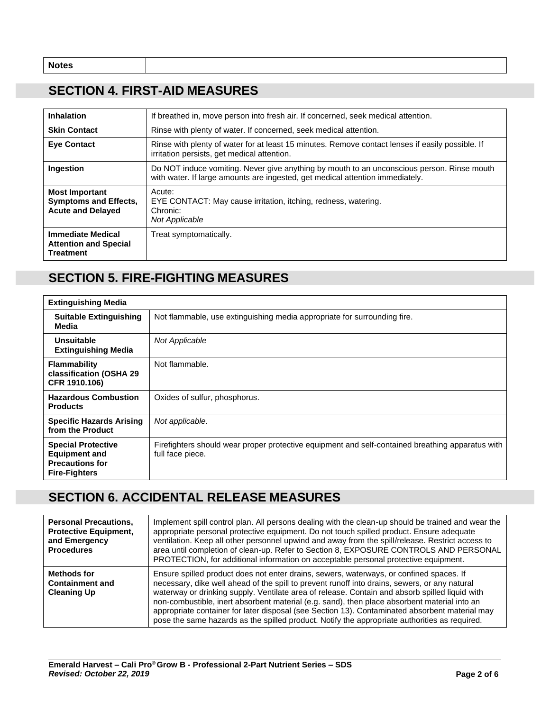#### **SECTION 4. FIRST-AID MEASURES**

| <b>Inhalation</b>                                                                 | If breathed in, move person into fresh air. If concerned, seek medical attention.                                                                                           |
|-----------------------------------------------------------------------------------|-----------------------------------------------------------------------------------------------------------------------------------------------------------------------------|
| <b>Skin Contact</b>                                                               | Rinse with plenty of water. If concerned, seek medical attention.                                                                                                           |
| <b>Eye Contact</b>                                                                | Rinse with plenty of water for at least 15 minutes. Remove contact lenses if easily possible. If<br>irritation persists, get medical attention.                             |
| Ingestion                                                                         | Do NOT induce vomiting. Never give anything by mouth to an unconscious person. Rinse mouth<br>with water. If large amounts are ingested, get medical attention immediately. |
| <b>Most Important</b><br><b>Symptoms and Effects,</b><br><b>Acute and Delayed</b> | Acute:<br>EYE CONTACT: May cause irritation, itching, redness, watering.<br>Chronic:<br><b>Not Applicable</b>                                                               |
| <b>Immediate Medical</b><br><b>Attention and Special</b><br><b>Treatment</b>      | Treat symptomatically.                                                                                                                                                      |

# **SECTION 5. FIRE-FIGHTING MEASURES**

| <b>Extinguishing Media</b>                                                                          |                                                                                                                      |
|-----------------------------------------------------------------------------------------------------|----------------------------------------------------------------------------------------------------------------------|
| <b>Suitable Extinguishing</b><br>Media                                                              | Not flammable, use extinguishing media appropriate for surrounding fire.                                             |
| Unsuitable<br><b>Extinguishing Media</b>                                                            | <b>Not Applicable</b>                                                                                                |
| <b>Flammability</b><br>classification (OSHA 29<br>CFR 1910.106)                                     | Not flammable.                                                                                                       |
| <b>Hazardous Combustion</b><br><b>Products</b>                                                      | Oxides of sulfur, phosphorus.                                                                                        |
| <b>Specific Hazards Arising</b><br>from the Product                                                 | Not applicable.                                                                                                      |
| <b>Special Protective</b><br><b>Equipment and</b><br><b>Precautions for</b><br><b>Fire-Fighters</b> | Firefighters should wear proper protective equipment and self-contained breathing apparatus with<br>full face piece. |

## **SECTION 6. ACCIDENTAL RELEASE MEASURES**

| <b>Personal Precautions,</b><br><b>Protective Equipment,</b><br>and Emergency<br><b>Procedures</b> | Implement spill control plan. All persons dealing with the clean-up should be trained and wear the<br>appropriate personal protective equipment. Do not touch spilled product. Ensure adequate<br>ventilation. Keep all other personnel upwind and away from the spill/release. Restrict access to<br>area until completion of clean-up. Refer to Section 8, EXPOSURE CONTROLS AND PERSONAL<br>PROTECTION, for additional information on acceptable personal protective equipment.                                                                                                            |
|----------------------------------------------------------------------------------------------------|-----------------------------------------------------------------------------------------------------------------------------------------------------------------------------------------------------------------------------------------------------------------------------------------------------------------------------------------------------------------------------------------------------------------------------------------------------------------------------------------------------------------------------------------------------------------------------------------------|
| <b>Methods for</b><br><b>Containment and</b><br><b>Cleaning Up</b>                                 | Ensure spilled product does not enter drains, sewers, waterways, or confined spaces. If<br>necessary, dike well ahead of the spill to prevent runoff into drains, sewers, or any natural<br>waterway or drinking supply. Ventilate area of release. Contain and absorb spilled liquid with<br>non-combustible, inert absorbent material (e.g. sand), then place absorbent material into an<br>appropriate container for later disposal (see Section 13). Contaminated absorbent material may<br>pose the same hazards as the spilled product. Notify the appropriate authorities as required. |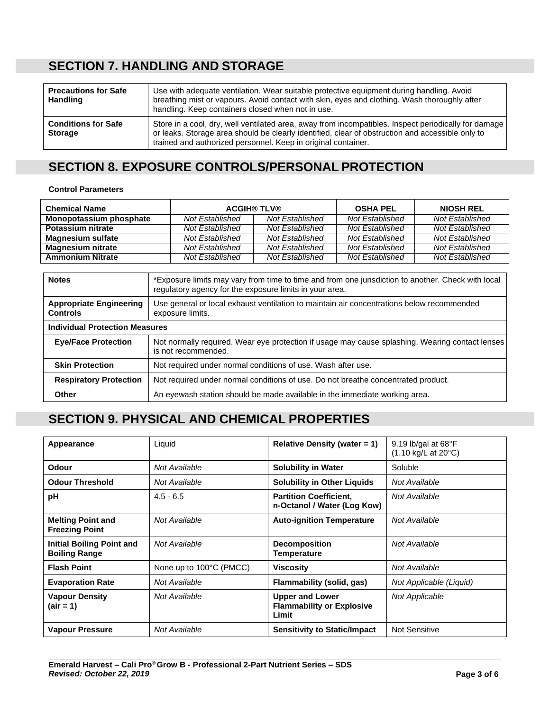#### **SECTION 7. HANDLING AND STORAGE**

| <b>Precautions for Safe</b><br><b>Handling</b> | Use with adequate ventilation. Wear suitable protective equipment during handling. Avoid<br>breathing mist or vapours. Avoid contact with skin, eyes and clothing. Wash thoroughly after<br>handling. Keep containers closed when not in use.                             |
|------------------------------------------------|---------------------------------------------------------------------------------------------------------------------------------------------------------------------------------------------------------------------------------------------------------------------------|
| <b>Conditions for Safe</b><br><b>Storage</b>   | Store in a cool, dry, well ventilated area, away from incompatibles. Inspect periodically for damage<br>or leaks. Storage area should be clearly identified, clear of obstruction and accessible only to<br>trained and authorized personnel. Keep in original container. |

#### **SECTION 8. EXPOSURE CONTROLS/PERSONAL PROTECTION**

#### **Control Parameters**

| <b>Chemical Name</b>     |                 | <b>ACGIH® TLV®</b> | <b>OSHA PEL</b> | <b>NIOSH REL</b> |
|--------------------------|-----------------|--------------------|-----------------|------------------|
| Monopotassium phosphate  | Not Established | Not Established    | Not Established | Not Established  |
| <b>Potassium nitrate</b> | Not Established | Not Established    | Not Established | Not Established  |
| <b>Magnesium sulfate</b> | Not Established | Not Established    | Not Established | Not Established  |
| <b>Magnesium nitrate</b> | Not Established | Not Established    | Not Established | Not Established  |
| <b>Ammonium Nitrate</b>  | Not Established | Not Established    | Not Established | Not Established  |

| <b>Notes</b>                                      | *Exposure limits may vary from time to time and from one jurisdiction to another. Check with local<br>regulatory agency for the exposure limits in your area. |  |
|---------------------------------------------------|---------------------------------------------------------------------------------------------------------------------------------------------------------------|--|
| <b>Appropriate Engineering</b><br><b>Controls</b> | Use general or local exhaust ventilation to maintain air concentrations below recommended<br>exposure limits.                                                 |  |
| <b>Individual Protection Measures</b>             |                                                                                                                                                               |  |
| <b>Eye/Face Protection</b>                        | Not normally required. Wear eye protection if usage may cause splashing. Wearing contact lenses<br>is not recommended.                                        |  |
| <b>Skin Protection</b>                            | Not required under normal conditions of use. Wash after use.                                                                                                  |  |
| <b>Respiratory Protection</b>                     | Not required under normal conditions of use. Do not breathe concentrated product.                                                                             |  |
| Other                                             | An eyewash station should be made available in the immediate working area.                                                                                    |  |

## **SECTION 9. PHYSICAL AND CHEMICAL PROPERTIES**

| Appearance                                               | Liquid                  | <b>Relative Density (water = 1)</b>                                 | 9.19 lb/gal at $68^{\circ}F$<br>(1.10 kg/L at 20°C) |
|----------------------------------------------------------|-------------------------|---------------------------------------------------------------------|-----------------------------------------------------|
| <b>Odour</b>                                             | Not Available           | <b>Solubility in Water</b>                                          | Soluble                                             |
| <b>Odour Threshold</b>                                   | Not Available           | <b>Solubility in Other Liquids</b>                                  | Not Available                                       |
| рH                                                       | $4.5 - 6.5$             | <b>Partition Coefficient,</b><br>n-Octanol / Water (Log Kow)        | Not Available                                       |
| <b>Melting Point and</b><br><b>Freezing Point</b>        | Not Available           | <b>Auto-ignition Temperature</b>                                    | Not Available                                       |
| <b>Initial Boiling Point and</b><br><b>Boiling Range</b> | Not Available           | <b>Decomposition</b><br>Temperature                                 | Not Available                                       |
| <b>Flash Point</b>                                       | None up to 100°C (PMCC) | <b>Viscosity</b>                                                    | Not Available                                       |
| <b>Evaporation Rate</b>                                  | Not Available           | Flammability (solid, gas)                                           | Not Applicable (Liquid)                             |
| <b>Vapour Density</b><br>(air = 1)                       | Not Available           | <b>Upper and Lower</b><br><b>Flammability or Explosive</b><br>Limit | Not Applicable                                      |
| <b>Vapour Pressure</b>                                   | Not Available           | <b>Sensitivity to Static/Impact</b>                                 | <b>Not Sensitive</b>                                |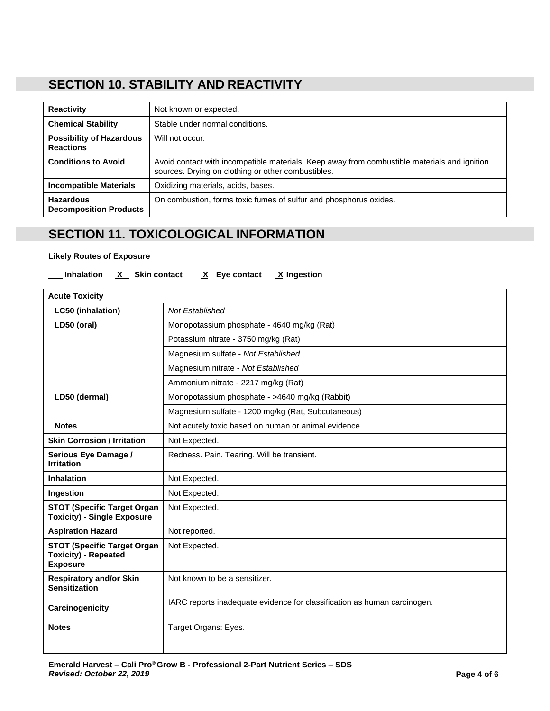# **SECTION 10. STABILITY AND REACTIVITY**

| <b>Reactivity</b>                                   | Not known or expected.                                                                                                                             |
|-----------------------------------------------------|----------------------------------------------------------------------------------------------------------------------------------------------------|
| <b>Chemical Stability</b>                           | Stable under normal conditions.                                                                                                                    |
| <b>Possibility of Hazardous</b><br><b>Reactions</b> | Will not occur.                                                                                                                                    |
| <b>Conditions to Avoid</b>                          | Avoid contact with incompatible materials. Keep away from combustible materials and ignition<br>sources. Drying on clothing or other combustibles. |
| <b>Incompatible Materials</b>                       | Oxidizing materials, acids, bases.                                                                                                                 |
| <b>Hazardous</b><br><b>Decomposition Products</b>   | On combustion, forms toxic fumes of sulfur and phosphorus oxides.                                                                                  |

#### **SECTION 11. TOXICOLOGICAL INFORMATION**

#### **Likely Routes of Exposure**

**Inhalation X Skin contact X Eye contact X Ingestion**

| <b>Acute Toxicity</b>                                                                |                                                                          |
|--------------------------------------------------------------------------------------|--------------------------------------------------------------------------|
| LC50 (inhalation)                                                                    | Not Established                                                          |
| LD50 (oral)                                                                          | Monopotassium phosphate - 4640 mg/kg (Rat)                               |
|                                                                                      | Potassium nitrate - 3750 mg/kg (Rat)                                     |
|                                                                                      | Magnesium sulfate - Not Established                                      |
|                                                                                      | Magnesium nitrate - Not Established                                      |
|                                                                                      | Ammonium nitrate - 2217 mg/kg (Rat)                                      |
| LD50 (dermal)                                                                        | Monopotassium phosphate - >4640 mg/kg (Rabbit)                           |
|                                                                                      | Magnesium sulfate - 1200 mg/kg (Rat, Subcutaneous)                       |
| <b>Notes</b>                                                                         | Not acutely toxic based on human or animal evidence.                     |
| <b>Skin Corrosion / Irritation</b>                                                   | Not Expected.                                                            |
| Serious Eye Damage /<br><b>Irritation</b>                                            | Redness. Pain. Tearing. Will be transient.                               |
| <b>Inhalation</b>                                                                    | Not Expected.                                                            |
| <b>Ingestion</b>                                                                     | Not Expected.                                                            |
| <b>STOT (Specific Target Organ</b><br><b>Toxicity) - Single Exposure</b>             | Not Expected.                                                            |
| <b>Aspiration Hazard</b>                                                             | Not reported.                                                            |
| <b>STOT (Specific Target Organ</b><br><b>Toxicity) - Repeated</b><br><b>Exposure</b> | Not Expected.                                                            |
| <b>Respiratory and/or Skin</b><br><b>Sensitization</b>                               | Not known to be a sensitizer.                                            |
| Carcinogenicity                                                                      | IARC reports inadequate evidence for classification as human carcinogen. |
| <b>Notes</b>                                                                         | Target Organs: Eyes.                                                     |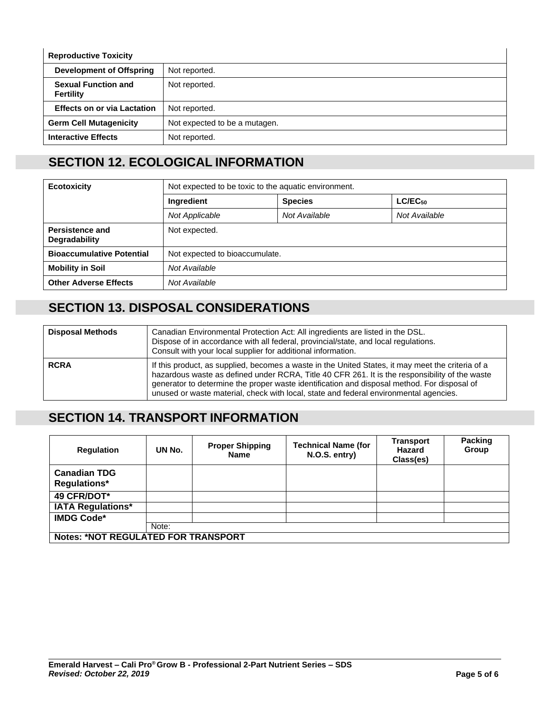| <b>Reproductive Toxicity</b>                   |                               |  |
|------------------------------------------------|-------------------------------|--|
| Development of Offspring                       | Not reported.                 |  |
| <b>Sexual Function and</b><br><b>Fertility</b> | Not reported.                 |  |
| <b>Effects on or via Lactation</b>             | Not reported.                 |  |
| <b>Germ Cell Mutagenicity</b>                  | Not expected to be a mutagen. |  |
| <b>Interactive Effects</b>                     | Not reported.                 |  |

# **SECTION 12. ECOLOGICAL INFORMATION**

| <b>Ecotoxicity</b>                             | Not expected to be toxic to the aquatic environment. |                |               |
|------------------------------------------------|------------------------------------------------------|----------------|---------------|
|                                                | Ingredient                                           | <b>Species</b> | $LC/EC_{50}$  |
|                                                | <b>Not Applicable</b>                                | Not Available  | Not Available |
| <b>Persistence and</b><br><b>Degradability</b> | Not expected.                                        |                |               |
| <b>Bioaccumulative Potential</b>               | Not expected to bioaccumulate.                       |                |               |
| <b>Mobility in Soil</b>                        | Not Available                                        |                |               |
| <b>Other Adverse Effects</b>                   | Not Available                                        |                |               |

## **SECTION 13. DISPOSAL CONSIDERATIONS**

| <b>Disposal Methods</b> | Canadian Environmental Protection Act: All ingredients are listed in the DSL.<br>Dispose of in accordance with all federal, provincial/state, and local regulations.<br>Consult with your local supplier for additional information.                                                                                                                                                        |
|-------------------------|---------------------------------------------------------------------------------------------------------------------------------------------------------------------------------------------------------------------------------------------------------------------------------------------------------------------------------------------------------------------------------------------|
| <b>RCRA</b>             | If this product, as supplied, becomes a waste in the United States, it may meet the criteria of a<br>hazardous waste as defined under RCRA, Title 40 CFR 261. It is the responsibility of the waste<br>generator to determine the proper waste identification and disposal method. For disposal of<br>unused or waste material, check with local, state and federal environmental agencies. |

# **SECTION 14. TRANSPORT INFORMATION**

| <b>Regulation</b>                          | UN No. | <b>Proper Shipping</b><br><b>Name</b> | <b>Technical Name (for</b><br>N.O.S. entry) | Transport<br>Hazard<br>Class(es) | Packing<br>Group |
|--------------------------------------------|--------|---------------------------------------|---------------------------------------------|----------------------------------|------------------|
| <b>Canadian TDG</b>                        |        |                                       |                                             |                                  |                  |
| <b>Regulations*</b>                        |        |                                       |                                             |                                  |                  |
| 49 CFR/DOT*                                |        |                                       |                                             |                                  |                  |
| <b>IATA Regulations*</b>                   |        |                                       |                                             |                                  |                  |
| <b>IMDG Code*</b>                          |        |                                       |                                             |                                  |                  |
|                                            | Note:  |                                       |                                             |                                  |                  |
| <b>Notes: *NOT REGULATED FOR TRANSPORT</b> |        |                                       |                                             |                                  |                  |